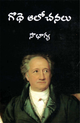

సౌభాగ్య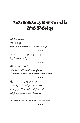# మన మనసుల్డి విశాలం చేసే రోథే కొటేషన్లు

ఆలోచన సులభం ఆచరణ కష్టం ఆలోచనల్ని ఆచరణలో పెట్టడం మరింత కష్టం \*\*\*

ఏదైనా సరే పని చెయ్యడమన్నది ముఖ్య<mark>ం</mark> కీరిలో అంతా శూన్యం

\*\*\*

ద్వేషంలో చలనముంది అసూయలో ఉదాసీనమైన అయిష్టము<mark>ం</mark>ది ద్వేషమన్నది అసూయకన్నా ఒకడుగు ముందుంటుంది

\*\*\*

ద్వేషమన్నది ఒక <sub>(</sub>పత్యేకమైన లక్షణం అత్యల్పస్థాయిలో సంస్మృతి ఎక్కడుంటుందో అత్యల్పస్థాయిలో నాగరికత ఎక్కడుంటుందో అక్కద ద్వేషమన్నది బలంగా వుంటుంది

#### \*\*\*

సౌందర్యానికి ఆదర్శం నిర్మలత్వం, నిరాదంబరత్వం

\*\*\*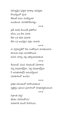రహస్యమైన (పకృతి సూతా(ల ఆవిష్కరణ సౌందర్యంలో వుంది లేకుంటే మనం మనకెప్పుడూ అందకుండా మిగిలిపోయేవాళ్ళం

\*\*\*

(పతీ మనిషి వీలయితే (పతిరోజూ కనీసం ఒక పాట వినాలి లేదా ఒక కవిత చదవాలి లేదా ఒక అందమైన చిత్రం చూదాలి

#### \*\*\*

నా దగ్గరున్నదేదో నేను సంతోషంగా దాచుకుంటాను తగినంత లాభం కలగకపోయినా మనసు మార్పు పట్ల ఆకర్వింపబడుతుంది

 $***$ 

శీలమంటే, మంచి గుణమంటే ఏమోకాదు చిన్ని విషయాల్ల్హోనైనా, పెద్ద విషయాల్ల్హోనైనా నీ అనుభూతుల్లోని ఆనందస్తాయిని సమతూకంలో ఉంచడం

#### \*\*\*

ప్రతిభ ఏకాంతంలో రూపొందుతుంది వ్యక్తిత్వం వ్రపంచ వ్రవాహంలో రూపుదిద్దుకుంటుంది

\*\*\*

వి(శాంతి వద్దు! జీవితం పరిగెడుతోంది! మరణానికి ముందే సాహసించు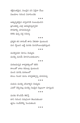శక్తివంతమైన, విలువైన పని ఏదైనా చేయి విజయాల గురించి విచారించకు

\*\*\*

అత్యున్నతమైన వాస్తవానికి సంబంధించిన (భాంతుల్ని ఎట్లా ఆవిష్కరిస్తున్నామో కారణాల్ని చూపడమన్నది కళకు వున్న పద్ధ సమస్య

\*\*\*

ప్రకృతి తన దారంటీ తాను వెకుతూ వుంటుంది మన స్థాయిని బట్టి మనకు మినహాయింపులిస్తుంది

### \*\*\*

మనల్నెవరూ మోసం చెయ్యరు మనల్ని మనమే మోసగించుకుంటాం

#### \*\*\*

మరణమన్నది శాశ్వతత్వంలో కలిసి కాలంతో బాటు కదుల్తూ వుంటుంది మంచి మనిషి మరణంలో కాలం గుండా మనం శాశ్వతత్వాన్ని చూడవచ్చు

#### \*\*\*

వయసు మనల్ని పసివాళ్ళని చెయ్యదు ఎవరో చెప్పినట్లు మనల్ని నిజమైన పిల్లలుగా చూస్తుంది

#### \*\*\*

మనకు కొంచెమే తెలిస్తే దాని గురించి సమగ్రంగా తెలుసుకుంటా జ్ఞానం సందేహాల్ని పెంచుతుంది

#### \*\*\*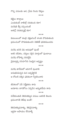గొప్ప పనులకు ఆశ, (పేమ రెండు రెక్కలు

\*\*\*

కట్టేలు ఉంచయ ఎందుకంటే వాటిల్లో సరుకుంది కదా! మనిషికి కీర్తి వచ్చిందంటే అతన్లో సరుకున్నట్లే కదా!

#### \*\*\*

కుటుంబంలో తండ్రి రక్షణనించే శాంతి దొరుకుతుంది ప్రపంచంలో దొరుకుతుందని వెతికితే ఫలితముందదు

#### \*\*\*

మనిషి ఉనికి విధి అదుపులో వుంటే అతని జీవితం, చర్యలు సరైన మార్గంలో వుంటాయి మనిషి లోపాల్ని సరిదిద్దేది వైఫల్యాల్ని సరిచూసేది నిజమైన అదృష్టం \*\*\*

మనిషి తానేమిటో అదిగానే వుండాలి అనుభవమన్నది మన అదృష్టానికి ఆ రోజుకి దక్కిన ఫలితంగా స్వీకరించాలి

#### \*\*\*

జీవితంలో ఏదీ నిర్హేతుకం కాదు అవకాశం దానికోసం ఏర్పడిన అద్భుతమేమి కాదు

#### \*\*\*

వివేకవంతుడి తెలివితక్కువ పనులు అతనికి తెలుసు (పపంచానికి తెలీవు అంతే!

#### $***$

తెలివితక్కువవాళ్ళు, తెలివైనవాళ్<mark>భు</mark> ఇద్దరూ అపాయం లేనివాళ్ళే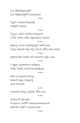#### \*\*\*

యవ్వనంలో ప్రతిఒక్కడూ ఈ ప్రపంచం తనతోనే మొదలయిందనుకుంటాడు తనకోసమే ఉనికిలో ఉందనుకుంటాడు

సమాజానికి మనల్ని సన్నిహితం చేసేది దయ

\*\*\*

తనకంటే ఎక్కువ చెయ్యద<mark>ా</mark>న్నే మనిషి సాధించాలి

తనకు సంబంధించిన తనాన్ని

\*\*\*

\*\*\*

నీ శక్తులు వృధాకాకుందా జాగ్రత్తపడు వాటిపై ఏకాగ్రత నిలపడానికి (పయత్నించు

\*\*\* (పతిభావంతుడి మొదటి చివరి అవసరాలు సత్యం, (పేమ

\*\*\*

ప్రతిదాన్ని గురించీ ఇంతకుపూర్వమే ఆలోచించారు సమస్య ఎక్కడంటే మళ్ళీ దాన్ని గురించి ఆలోచించాల్సి రావడం

### \*\*\*

\*\*\*

స్వేచ్ఛను, ఉనికిని సంపాదించుకున్నవాడు ఏ రోజు కారోజు వాటిని రక్షించుకుంటు వుందాలి

స్వేచ్ఛగా ఉన్నామనుకున్నవాళ్ళు సంకెళ్ళలో వుంటారు

సగం తెలివితక్కువవాళ్ళతో సగం తెలివైనవాళ్ళతోనే <mark>(పమాదమంతా</mark>

\*\*\*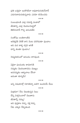ప్రతి ఒక్కదూ ఇంకొకడిలా అవుదామనుకునేవాదే ఎదుగుదామనుకున్నవాడు ఎవరూ కనిపించడు

\*\*\*

సంబంధాలకి ఎట్లా సమాప్తి పలకాలో జీవితాన్ని ఎట్లా మొదలుపెట్టాలో తెలిసినవాడే గొప్ప ఆనందజీవి

\*\*\*

సంతోషం బంతిలాంటిది అదెక్కడికి వెళితే దాని వెంట పరిగెదుతూ వుంటాం అది మన కాళ్ళ దగ్గర ఆగితే దాన్ని తంతూ వుంటాం!

#### \*\*\*

నెమ్మదితనంలో ఆనందం దాగివుంది

\*\*\*

ఏదైనా ఫలవంతం కావడానికి నమ్మకం మొదలుకావడం ముఖ్యం అపనమ్మకం ఆర్భాలాలు చేసినా అదంతా శూన్యమే!

#### \*\*\*

అన్ని విషయాల్లో నిరాశకన్నా ఆశగా ఉందడమే మేలు

\*\*\*

మిత్రమా! నేను చెబుతున్నది నిజం దేన్ని విశ్వసించాలో చెబుతాను జీవితాన్నే నమ్ము! అది పుస్తకాల కన్నా, వక్త కన్నా నీకు ఎక్కువ నేర్పుతుంది